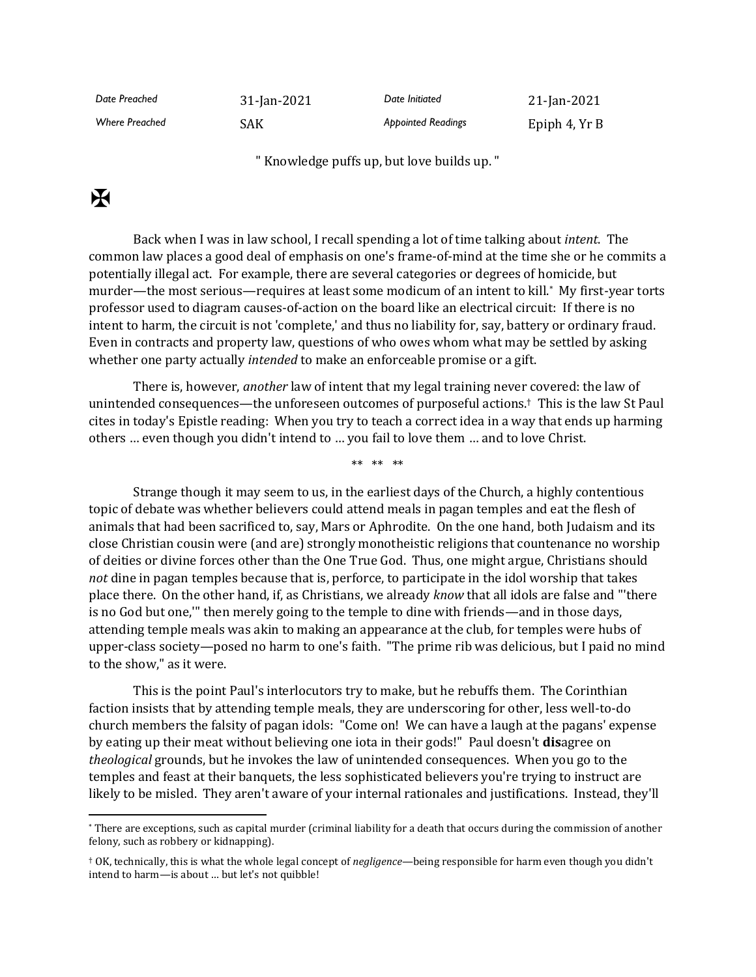| Date Preached         | 31-Jan-2021 | Date Initiated            | 21-Jan-2021   |
|-----------------------|-------------|---------------------------|---------------|
| <b>Where Preached</b> | SAK         | <b>Appointed Readings</b> | Epiph 4, Yr B |

" Knowledge puffs up, but love builds up. "

## $\mathbf K$

Back when I was in law school, I recall spending a lot of time talking about *intent*. The common law places a good deal of emphasis on one's frame-of-mind at the time she or he commits a potentially illegal act. For example, there are several categories or degrees of homicide, but murder—the most serious—requires at least some modicum of an intent to kill.\* My first-year torts professor used to diagram causes-of-action on the board like an electrical circuit: If there is no intent to harm, the circuit is not 'complete,' and thus no liability for, say, battery or ordinary fraud. Even in contracts and property law, questions of who owes whom what may be settled by asking whether one party actually *intended* to make an enforceable promise or a gift.

There is, however, *another* law of intent that my legal training never covered: the law of unintended consequences—the unforeseen outcomes of purposeful actions.† This is the law St Paul cites in today's Epistle reading: When you try to teach a correct idea in a way that ends up harming others … even though you didn't intend to … you fail to love them … and to love Christ.

\*\* \*\* \*\*

Strange though it may seem to us, in the earliest days of the Church, a highly contentious topic of debate was whether believers could attend meals in pagan temples and eat the flesh of animals that had been sacrificed to, say, Mars or Aphrodite. On the one hand, both Judaism and its close Christian cousin were (and are) strongly monotheistic religions that countenance no worship of deities or divine forces other than the One True God. Thus, one might argue, Christians should *not* dine in pagan temples because that is, perforce, to participate in the idol worship that takes place there. On the other hand, if, as Christians, we already *know* that all idols are false and "'there is no God but one,'" then merely going to the temple to dine with friends—and in those days, attending temple meals was akin to making an appearance at the club, for temples were hubs of upper-class society—posed no harm to one's faith. "The prime rib was delicious, but I paid no mind to the show," as it were.

This is the point Paul's interlocutors try to make, but he rebuffs them. The Corinthian faction insists that by attending temple meals, they are underscoring for other, less well-to-do church members the falsity of pagan idols: "Come on! We can have a laugh at the pagans' expense by eating up their meat without believing one iota in their gods!" Paul doesn't **dis**agree on *theological* grounds, but he invokes the law of unintended consequences. When you go to the temples and feast at their banquets, the less sophisticated believers you're trying to instruct are likely to be misled. They aren't aware of your internal rationales and justifications. Instead, they'll

<sup>\*</sup> There are exceptions, such as capital murder (criminal liability for a death that occurs during the commission of another felony, such as robbery or kidnapping).

<sup>†</sup> OK, technically, this is what the whole legal concept of *negligence*—being responsible for harm even though you didn't intend to harm—is about … but let's not quibble!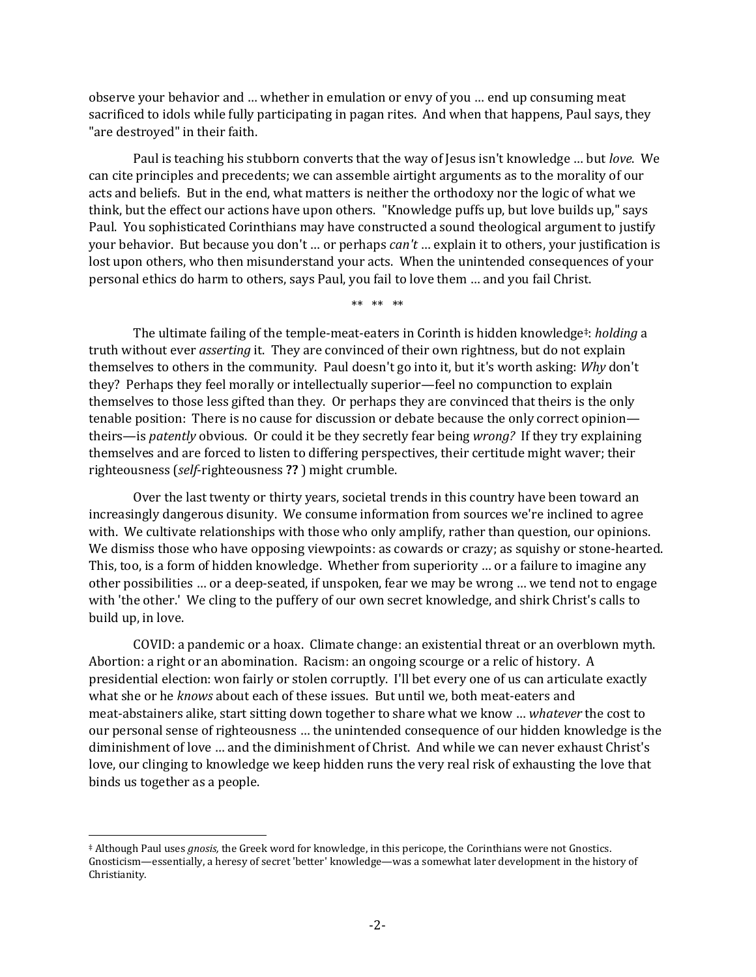observe your behavior and … whether in emulation or envy of you … end up consuming meat sacrificed to idols while fully participating in pagan rites. And when that happens, Paul says, they "are destroyed" in their faith.

Paul is teaching his stubborn converts that the way of Jesus isn't knowledge … but *love*. We can cite principles and precedents; we can assemble airtight arguments as to the morality of our acts and beliefs. But in the end, what matters is neither the orthodoxy nor the logic of what we think, but the effect our actions have upon others. "Knowledge puffs up, but love builds up," says Paul. You sophisticated Corinthians may have constructed a sound theological argument to justify your behavior. But because you don't … or perhaps *can't* … explain it to others, your justification is lost upon others, who then misunderstand your acts. When the unintended consequences of your personal ethics do harm to others, says Paul, you fail to love them … and you fail Christ.

\*\* \*\* \*\*

The ultimate failing of the temple-meat-eaters in Corinth is hidden knowledge‡: *holding* a truth without ever *asserting* it. They are convinced of their own rightness, but do not explain themselves to others in the community. Paul doesn't go into it, but it's worth asking: *Why* don't they? Perhaps they feel morally or intellectually superior—feel no compunction to explain themselves to those less gifted than they. Or perhaps they are convinced that theirs is the only tenable position: There is no cause for discussion or debate because the only correct opinion theirs—is *patently* obvious. Or could it be they secretly fear being *wrong?* If they try explaining themselves and are forced to listen to differing perspectives, their certitude might waver; their righteousness (*self*-righteousness **??** ) might crumble.

Over the last twenty or thirty years, societal trends in this country have been toward an increasingly dangerous disunity. We consume information from sources we're inclined to agree with. We cultivate relationships with those who only amplify, rather than question, our opinions. We dismiss those who have opposing viewpoints: as cowards or crazy; as squishy or stone-hearted. This, too, is a form of hidden knowledge. Whether from superiority … or a failure to imagine any other possibilities … or a deep-seated, if unspoken, fear we may be wrong … we tend not to engage with 'the other.' We cling to the puffery of our own secret knowledge, and shirk Christ's calls to build up, in love.

COVID: a pandemic or a hoax. Climate change: an existential threat or an overblown myth. Abortion: a right or an abomination. Racism: an ongoing scourge or a relic of history. A presidential election: won fairly or stolen corruptly. I'll bet every one of us can articulate exactly what she or he *knows* about each of these issues. But until we, both meat-eaters and meat-abstainers alike, start sitting down together to share what we know … *whatever* the cost to our personal sense of righteousness … the unintended consequence of our hidden knowledge is the diminishment of love … and the diminishment of Christ. And while we can never exhaust Christ's love, our clinging to knowledge we keep hidden runs the very real risk of exhausting the love that binds us together as a people.

<sup>‡</sup> Although Paul uses *gnosis,* the Greek word for knowledge, in this pericope, the Corinthians were not Gnostics. Gnosticism—essentially, a heresy of secret 'better' knowledge—was a somewhat later development in the history of Christianity.